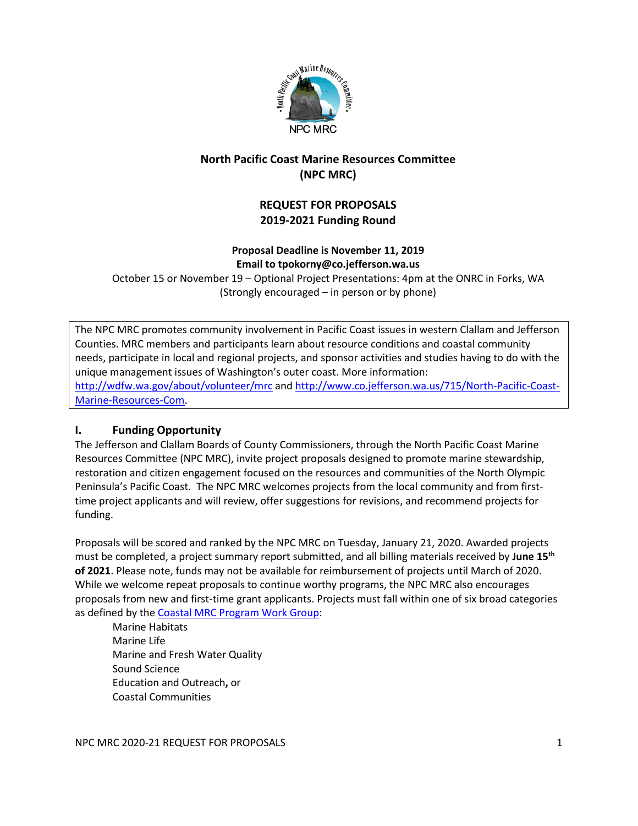

# **North Pacific Coast Marine Resources Committee (NPC MRC)**

# **REQUEST FOR PROPOSALS 2019-2021 Funding Round**

# **Proposal Deadline is November 11, 2019 Email to tpokorny@co.jefferson.wa.us**

October 15 or November 19 – Optional Project Presentations: 4pm at the ONRC in Forks, WA (Strongly encouraged – in person or by phone)

The NPC MRC promotes community involvement in Pacific Coast issues in western Clallam and Jefferson Counties. MRC members and participants learn about resource conditions and coastal community needs, participate in local and regional projects, and sponsor activities and studies having to do with the unique management issues of Washington's outer coast. More information: <http://wdfw.wa.gov/about/volunteer/mrc> and [http://www.co.jefferson.wa.us/715/North-Pacific-Coast-](http://www.co.jefferson.wa.us/715/North-Pacific-Coast-Marine-Resources-Com)[Marine-Resources-Com.](http://www.co.jefferson.wa.us/715/North-Pacific-Coast-Marine-Resources-Com)

# **I. Funding Opportunity**

The Jefferson and Clallam Boards of County Commissioners, through the North Pacific Coast Marine Resources Committee (NPC MRC), invite project proposals designed to promote marine stewardship, restoration and citizen engagement focused on the resources and communities of the North Olympic Peninsula's Pacific Coast. The NPC MRC welcomes projects from the local community and from firsttime project applicants and will review, offer suggestions for revisions, and recommend projects for funding.

Proposals will be scored and ranked by the NPC MRC on Tuesday, January 21, 2020. Awarded projects must be completed, a project summary report submitted, and all billing materials received by **June 15th of 2021**. Please note, funds may not be available for reimbursement of projects until March of 2020. While we welcome repeat proposals to continue worthy programs, the NPC MRC also encourages proposals from new and first-time grant applicants. Projects must fall within one of six broad categories as defined by th[e Coastal MRC Program Work Group:](http://www.wdfw.wa.gov/about/volunteer/mrc/work_group.html)

Marine Habitats Marine Life Marine and Fresh Water Quality Sound Science Education and Outreach**,** or Coastal Communities

NPC MRC 2020-21 REQUEST FOR PROPOSALS 1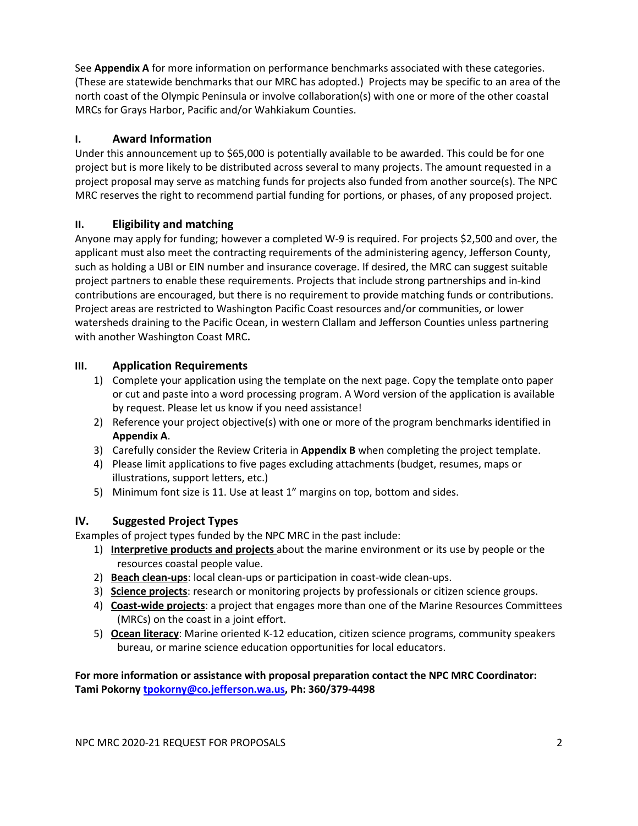See **Appendix A** for more information on performance benchmarks associated with these categories. (These are statewide benchmarks that our MRC has adopted.) Projects may be specific to an area of the north coast of the Olympic Peninsula or involve collaboration(s) with one or more of the other coastal MRCs for Grays Harbor, Pacific and/or Wahkiakum Counties.

## **I. Award Information**

Under this announcement up to \$65,000 is potentially available to be awarded. This could be for one project but is more likely to be distributed across several to many projects. The amount requested in a project proposal may serve as matching funds for projects also funded from another source(s). The NPC MRC reserves the right to recommend partial funding for portions, or phases, of any proposed project.

## **II. Eligibility and matching**

Anyone may apply for funding; however a completed W-9 is required. For projects \$2,500 and over, the applicant must also meet the contracting requirements of the administering agency, Jefferson County, such as holding a UBI or EIN number and insurance coverage. If desired, the MRC can suggest suitable project partners to enable these requirements. Projects that include strong partnerships and in-kind contributions are encouraged, but there is no requirement to provide matching funds or contributions. Project areas are restricted to Washington Pacific Coast resources and/or communities, or lower watersheds draining to the Pacific Ocean, in western Clallam and Jefferson Counties unless partnering with another Washington Coast MRC**.**

## **III. Application Requirements**

- 1) Complete your application using the template on the next page. Copy the template onto paper or cut and paste into a word processing program. A Word version of the application is available by request. Please let us know if you need assistance!
- 2) Reference your project objective(s) with one or more of the program benchmarks identified in **Appendix A**.
- 3) Carefully consider the Review Criteria in **Appendix B** when completing the project template.
- 4) Please limit applications to five pages excluding attachments (budget, resumes, maps or illustrations, support letters, etc.)
- 5) Minimum font size is 11. Use at least 1" margins on top, bottom and sides.

# **IV. Suggested Project Types**

Examples of project types funded by the NPC MRC in the past include:

- 1) **Interpretive products and projects** about the marine environment or its use by people or the resources coastal people value.
- 2) **Beach clean-ups**: local clean-ups or participation in coast-wide clean-ups.
- 3) **Science projects**: research or monitoring projects by professionals or citizen science groups.
- 4) **Coast-wide projects**: a project that engages more than one of the Marine Resources Committees (MRCs) on the coast in a joint effort.
- 5) **Ocean literacy**: Marine oriented K-12 education, citizen science programs, community speakers bureau, or marine science education opportunities for local educators.

**For more information or assistance with proposal preparation contact the NPC MRC Coordinator: Tami Pokorn[y tpokorny@co.jefferson.wa.us,](mailto:tpokorny@co.jefferson.wa.us) Ph: 360/379-4498**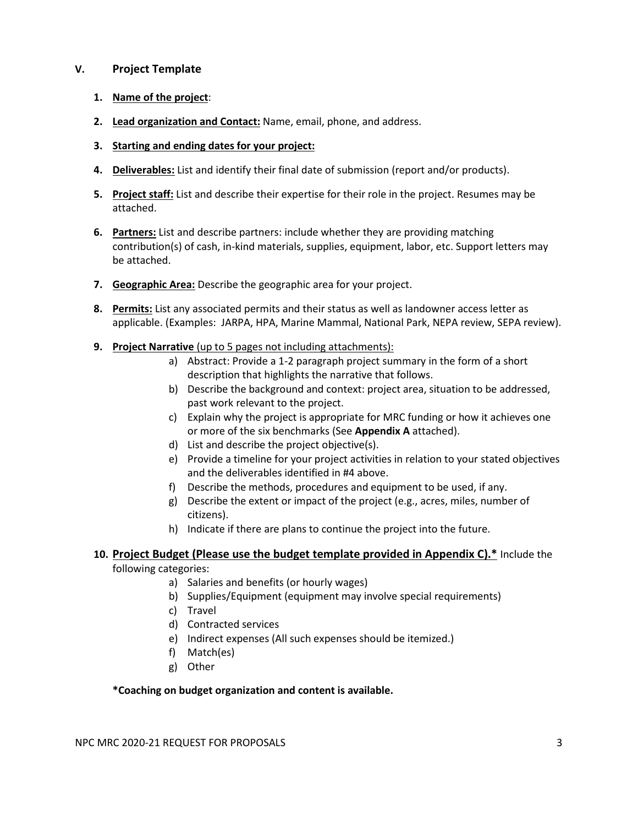## **V. Project Template**

- **1. Name of the project**:
- **2. Lead organization and Contact:** Name, email, phone, and address.
- **3. Starting and ending dates for your project:**
- **4. Deliverables:** List and identify their final date of submission (report and/or products).
- **5. Project staff:** List and describe their expertise for their role in the project. Resumes may be attached.
- **6. Partners:** List and describe partners: include whether they are providing matching contribution(s) of cash, in-kind materials, supplies, equipment, labor, etc. Support letters may be attached.
- **7. Geographic Area:** Describe the geographic area for your project.
- **8. Permits:** List any associated permits and their status as well as landowner access letter as applicable. (Examples: JARPA, HPA, Marine Mammal, National Park, NEPA review, SEPA review).
- **9. Project Narrative** (up to 5 pages not including attachments):
	- a) Abstract: Provide a 1-2 paragraph project summary in the form of a short description that highlights the narrative that follows.
	- b) Describe the background and context: project area, situation to be addressed, past work relevant to the project.
	- c) Explain why the project is appropriate for MRC funding or how it achieves one or more of the six benchmarks (See **Appendix A** attached).
	- d) List and describe the project objective(s).
	- e) Provide a timeline for your project activities in relation to your stated objectives and the deliverables identified in #4 above.
	- f) Describe the methods, procedures and equipment to be used, if any.
	- g) Describe the extent or impact of the project (e.g., acres, miles, number of citizens).
	- h) Indicate if there are plans to continue the project into the future.

# **10. Project Budget (Please use the budget template provided in Appendix C).\*** Include the

#### following categories:

- a) Salaries and benefits (or hourly wages)
- b) Supplies/Equipment (equipment may involve special requirements)
- c) Travel
- d) Contracted services
- e) Indirect expenses (All such expenses should be itemized.)
- f) Match(es)
- g) Other

#### **\*Coaching on budget organization and content is available.**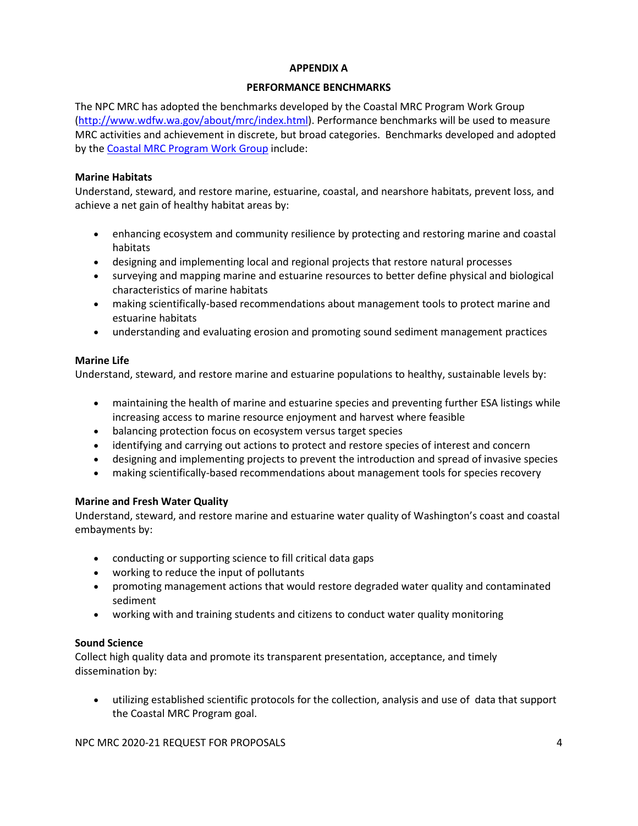#### **APPENDIX A**

#### **PERFORMANCE BENCHMARKS**

The NPC MRC has adopted the benchmarks developed by the Coastal MRC Program Work Group [\(http://www.wdfw.wa.gov/about/mrc/index.html\)](http://www.wdfw.wa.gov/about/mrc/index.html). Performance benchmarks will be used to measure MRC activities and achievement in discrete, but broad categories. Benchmarks developed and adopted by th[e Coastal MRC Program Work Group](http://www.wdfw.wa.gov/about/volunteer/mrc/work_group.html) include:

#### **Marine Habitats**

Understand, steward, and restore marine, estuarine, coastal, and nearshore habitats, prevent loss, and achieve a net gain of healthy habitat areas by:

- enhancing ecosystem and community resilience by protecting and restoring marine and coastal habitats
- designing and implementing local and regional projects that restore natural processes
- surveying and mapping marine and estuarine resources to better define physical and biological characteristics of marine habitats
- making scientifically-based recommendations about management tools to protect marine and estuarine habitats
- understanding and evaluating erosion and promoting sound sediment management practices

## **Marine Life**

Understand, steward, and restore marine and estuarine populations to healthy, sustainable levels by:

- maintaining the health of marine and estuarine species and preventing further ESA listings while increasing access to marine resource enjoyment and harvest where feasible
- balancing protection focus on ecosystem versus target species
- identifying and carrying out actions to protect and restore species of interest and concern
- designing and implementing projects to prevent the introduction and spread of invasive species
- making scientifically-based recommendations about management tools for species recovery

#### **Marine and Fresh Water Quality**

Understand, steward, and restore marine and estuarine water quality of Washington's coast and coastal embayments by:

- conducting or supporting science to fill critical data gaps
- working to reduce the input of pollutants
- promoting management actions that would restore degraded water quality and contaminated sediment
- working with and training students and citizens to conduct water quality monitoring

### **Sound Science**

Collect high quality data and promote its transparent presentation, acceptance, and timely dissemination by:

• utilizing established scientific protocols for the collection, analysis and use of data that support the Coastal MRC Program goal.

NPC MRC 2020-21 REQUEST FOR PROPOSALS 4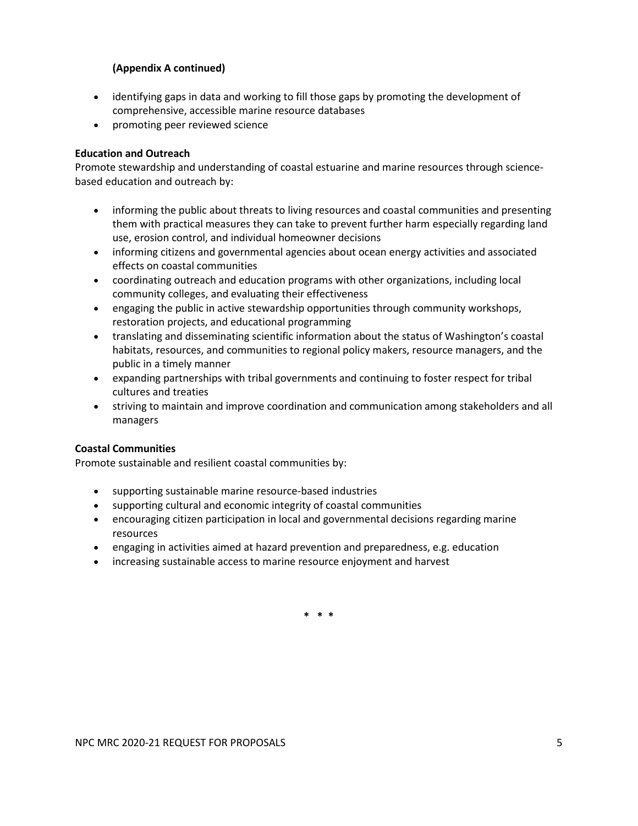## **(Appendix A continued)**

- identifying gaps in data and working to fill those gaps by promoting the development of comprehensive, accessible marine resource databases
- promoting peer reviewed science

## **Education and Outreach**

Promote stewardship and understanding of coastal estuarine and marine resources through sciencebased education and outreach by:

- informing the public about threats to living resources and coastal communities and presenting them with practical measures they can take to prevent further harm especially regarding land use, erosion control, and individual homeowner decisions
- informing citizens and governmental agencies about ocean energy activities and associated effects on coastal communities
- coordinating outreach and education programs with other organizations, including local community colleges, and evaluating their effectiveness
- engaging the public in active stewardship opportunities through community workshops, restoration projects, and educational programming
- translating and disseminating scientific information about the status of Washington's coastal habitats, resources, and communities to regional policy makers, resource managers, and the public in a timely manner
- expanding partnerships with tribal governments and continuing to foster respect for tribal cultures and treaties
- striving to maintain and improve coordination and communication among stakeholders and all managers

#### **Coastal Communities**

Promote sustainable and resilient coastal communities by:

- supporting sustainable marine resource-based industries
- supporting cultural and economic integrity of coastal communities
- encouraging citizen participation in local and governmental decisions regarding marine resources
- engaging in activities aimed at hazard prevention and preparedness, e.g. education
- increasing sustainable access to marine resource enjoyment and harvest

**\* \* \***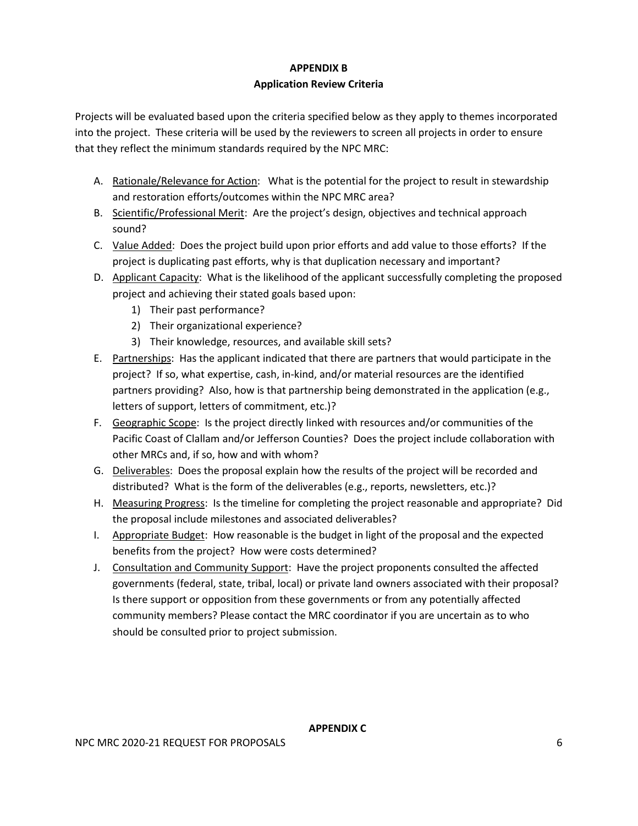# **APPENDIX B Application Review Criteria**

Projects will be evaluated based upon the criteria specified below as they apply to themes incorporated into the project. These criteria will be used by the reviewers to screen all projects in order to ensure that they reflect the minimum standards required by the NPC MRC:

- A. Rationale/Relevance for Action: What is the potential for the project to result in stewardship and restoration efforts/outcomes within the NPC MRC area?
- B. Scientific/Professional Merit: Are the project's design, objectives and technical approach sound?
- C. Value Added: Does the project build upon prior efforts and add value to those efforts? If the project is duplicating past efforts, why is that duplication necessary and important?
- D. Applicant Capacity: What is the likelihood of the applicant successfully completing the proposed project and achieving their stated goals based upon:
	- 1) Their past performance?
	- 2) Their organizational experience?
	- 3) Their knowledge, resources, and available skill sets?
- E. Partnerships: Has the applicant indicated that there are partners that would participate in the project? If so, what expertise, cash, in-kind, and/or material resources are the identified partners providing? Also, how is that partnership being demonstrated in the application (e.g., letters of support, letters of commitment, etc.)?
- F. Geographic Scope: Is the project directly linked with resources and/or communities of the Pacific Coast of Clallam and/or Jefferson Counties? Does the project include collaboration with other MRCs and, if so, how and with whom?
- G. Deliverables: Does the proposal explain how the results of the project will be recorded and distributed? What is the form of the deliverables (e.g., reports, newsletters, etc.)?
- H. Measuring Progress: Is the timeline for completing the project reasonable and appropriate? Did the proposal include milestones and associated deliverables?
- I. Appropriate Budget: How reasonable is the budget in light of the proposal and the expected benefits from the project? How were costs determined?
- J. Consultation and Community Support: Have the project proponents consulted the affected governments (federal, state, tribal, local) or private land owners associated with their proposal? Is there support or opposition from these governments or from any potentially affected community members? Please contact the MRC coordinator if you are uncertain as to who should be consulted prior to project submission.

**APPENDIX C**